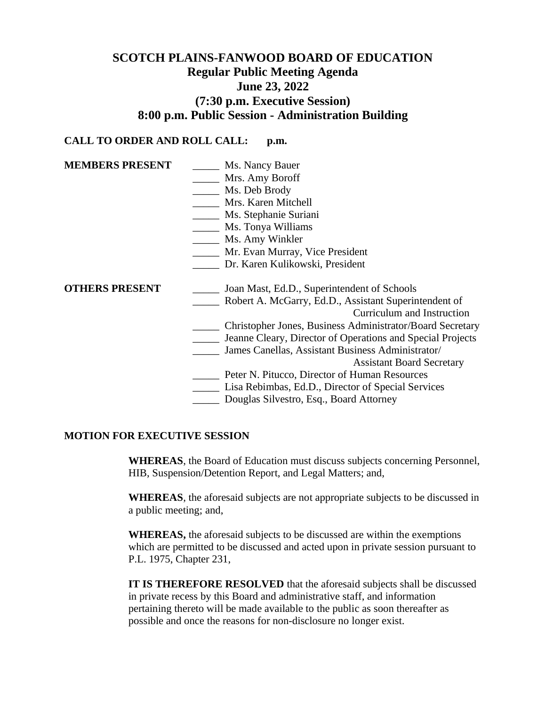# **SCOTCH PLAINS-FANWOOD BOARD OF EDUCATION Regular Public Meeting Agenda June 23, 2022 (7:30 p.m. Executive Session) 8:00 p.m. Public Session - Administration Building**

## **CALL TO ORDER AND ROLL CALL: p.m.**

| <b>MEMBERS PRESENT</b> | Ms. Nancy Bauer                                            |
|------------------------|------------------------------------------------------------|
|                        | Mrs. Amy Boroff                                            |
|                        | Ms. Deb Brody                                              |
|                        | Mrs. Karen Mitchell                                        |
|                        | Ms. Stephanie Suriani                                      |
|                        | Ms. Tonya Williams                                         |
|                        | Ms. Amy Winkler                                            |
|                        | Mr. Evan Murray, Vice President                            |
|                        | Dr. Karen Kulikowski, President                            |
|                        |                                                            |
| <b>OTHERS PRESENT</b>  | Joan Mast, Ed.D., Superintendent of Schools                |
|                        | Robert A. McGarry, Ed.D., Assistant Superintendent of      |
|                        | Curriculum and Instruction                                 |
|                        | Christopher Jones, Business Administrator/Board Secretary  |
|                        | Jeanne Cleary, Director of Operations and Special Projects |
|                        | James Canellas, Assistant Business Administrator/          |
|                        | <b>Assistant Board Secretary</b>                           |
|                        | Peter N. Pitucco, Director of Human Resources              |
|                        | Lisa Rebimbas, Ed.D., Director of Special Services         |
|                        | Douglas Silvestro, Esq., Board Attorney                    |

### **MOTION FOR EXECUTIVE SESSION**

**WHEREAS**, the Board of Education must discuss subjects concerning Personnel, HIB, Suspension/Detention Report, and Legal Matters; and,

**WHEREAS**, the aforesaid subjects are not appropriate subjects to be discussed in a public meeting; and,

**WHEREAS,** the aforesaid subjects to be discussed are within the exemptions which are permitted to be discussed and acted upon in private session pursuant to P.L. 1975, Chapter 231,

**IT IS THEREFORE RESOLVED** that the aforesaid subjects shall be discussed in private recess by this Board and administrative staff, and information pertaining thereto will be made available to the public as soon thereafter as possible and once the reasons for non-disclosure no longer exist.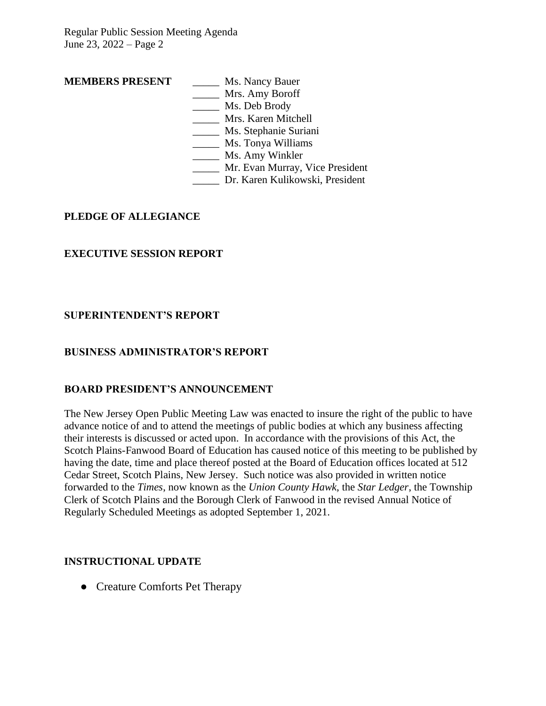# **MEMBERS PRESENT** \_\_\_\_\_\_ Ms. Nancy Bauer

- \_\_\_\_\_ Mrs. Amy Boroff
- \_\_\_\_\_ Ms. Deb Brody
- \_\_\_\_\_ Mrs. Karen Mitchell
- \_\_\_\_\_ Ms. Stephanie Suriani
- \_\_\_\_\_ Ms. Tonya Williams
- \_\_\_\_\_\_ Ms. Amy Winkler
- \_\_\_\_\_ Mr. Evan Murray, Vice President
- \_\_\_\_\_ Dr. Karen Kulikowski, President

## **PLEDGE OF ALLEGIANCE**

## **EXECUTIVE SESSION REPORT**

## **SUPERINTENDENT'S REPORT**

## **BUSINESS ADMINISTRATOR'S REPORT**

## **BOARD PRESIDENT'S ANNOUNCEMENT**

The New Jersey Open Public Meeting Law was enacted to insure the right of the public to have advance notice of and to attend the meetings of public bodies at which any business affecting their interests is discussed or acted upon. In accordance with the provisions of this Act, the Scotch Plains-Fanwood Board of Education has caused notice of this meeting to be published by having the date, time and place thereof posted at the Board of Education offices located at 512 Cedar Street, Scotch Plains, New Jersey. Such notice was also provided in written notice forwarded to the *Times*, now known as the *Union County Hawk*, the *Star Ledger*, the Township Clerk of Scotch Plains and the Borough Clerk of Fanwood in the revised Annual Notice of Regularly Scheduled Meetings as adopted September 1, 2021.

## **INSTRUCTIONAL UPDATE**

• Creature Comforts Pet Therapy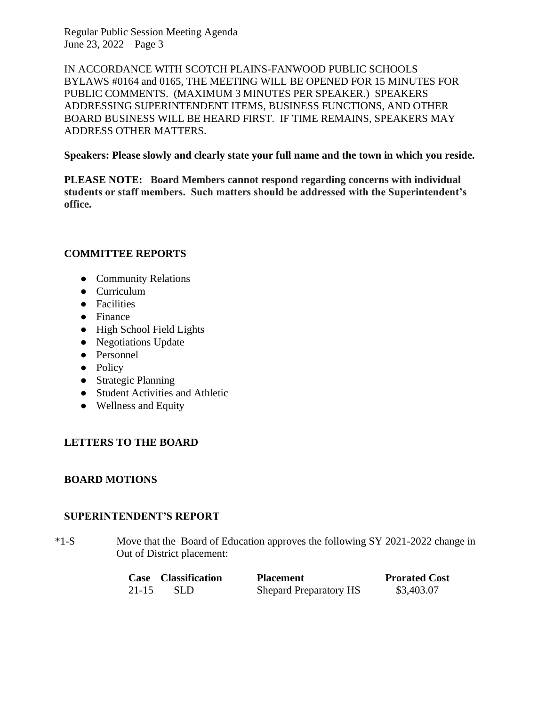IN ACCORDANCE WITH SCOTCH PLAINS-FANWOOD PUBLIC SCHOOLS BYLAWS #0164 and 0165, THE MEETING WILL BE OPENED FOR 15 MINUTES FOR PUBLIC COMMENTS. (MAXIMUM 3 MINUTES PER SPEAKER.) SPEAKERS ADDRESSING SUPERINTENDENT ITEMS, BUSINESS FUNCTIONS, AND OTHER BOARD BUSINESS WILL BE HEARD FIRST. IF TIME REMAINS, SPEAKERS MAY ADDRESS OTHER MATTERS.

### **Speakers: Please slowly and clearly state your full name and the town in which you reside.**

**PLEASE NOTE: Board Members cannot respond regarding concerns with individual students or staff members. Such matters should be addressed with the Superintendent's office.**

## **COMMITTEE REPORTS**

- Community Relations
- Curriculum
- Facilities
- Finance
- High School Field Lights
- Negotiations Update
- Personnel
- Policy
- Strategic Planning
- Student Activities and Athletic
- Wellness and Equity

## **LETTERS TO THE BOARD**

## **BOARD MOTIONS**

## **SUPERINTENDENT'S REPORT**

\*1-S Move that the Board of Education approves the following SY 2021-2022 change in Out of District placement:

|           | Case Classification | <b>Placement</b>              | <b>Prorated Cost</b> |
|-----------|---------------------|-------------------------------|----------------------|
| $21 - 15$ | -SLD-               | <b>Shepard Preparatory HS</b> | \$3,403.07           |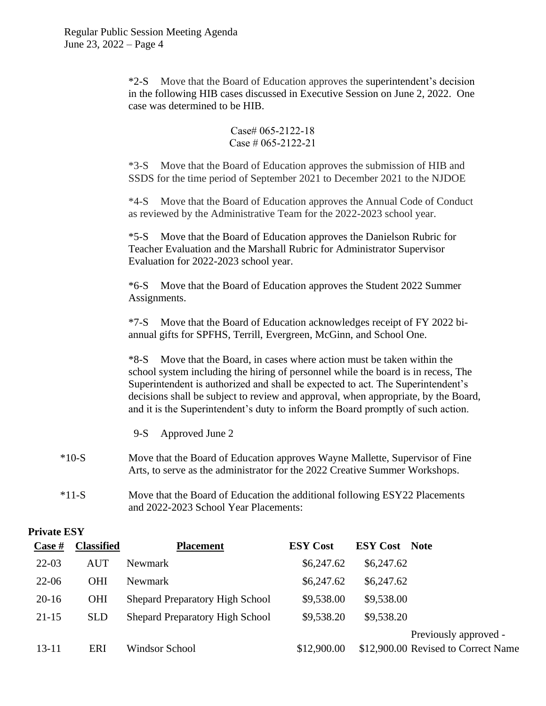\*2-S Move that the Board of Education approves the superintendent's decision in the following HIB cases discussed in Executive Session on June 2, 2022. One case was determined to be HIB.

> Case# 065-2122-18 Case # 065-2122-21

\*3-S Move that the Board of Education approves the submission of HIB and SSDS for the time period of September 2021 to December 2021 to the NJDOE

\*4-S Move that the Board of Education approves the Annual Code of Conduct as reviewed by the Administrative Team for the 2022-2023 school year.

\*5-S Move that the Board of Education approves the Danielson Rubric for Teacher Evaluation and the Marshall Rubric for Administrator Supervisor Evaluation for 2022-2023 school year.

\*6-S Move that the Board of Education approves the Student 2022 Summer Assignments.

\*7-S Move that the Board of Education acknowledges receipt of FY 2022 biannual gifts for SPFHS, Terrill, Evergreen, McGinn, and School One.

\*8-S Move that the Board, in cases where action must be taken within the school system including the hiring of personnel while the board is in recess, The Superintendent is authorized and shall be expected to act. The Superintendent's decisions shall be subject to review and approval, when appropriate, by the Board, and it is the Superintendent's duty to inform the Board promptly of such action.

- 9-S Approved June 2
- \*10-S Move that the Board of Education approves Wayne Mallette, Supervisor of Fine Arts, to serve as the administrator for the 2022 Creative Summer Workshops.
- \*11-S Move that the Board of Education the additional following ESY22 Placements and 2022-2023 School Year Placements:

| <b>Private ESY</b> |  |
|--------------------|--|
|--------------------|--|

| $\frac{\text{Case } \#}{\text{Case } \#}$ | <b>Classified</b> | <b>Placement</b>                       | <b>ESY Cost</b> | <b>ESY Cost</b> Note                |
|-------------------------------------------|-------------------|----------------------------------------|-----------------|-------------------------------------|
| $22-03$                                   | <b>AUT</b>        | <b>Newmark</b>                         | \$6,247.62      | \$6,247.62                          |
| $22 - 06$                                 | <b>OHI</b>        | Newmark                                | \$6,247.62      | \$6,247.62                          |
| $20-16$                                   | <b>OHI</b>        | <b>Shepard Preparatory High School</b> | \$9,538.00      | \$9,538.00                          |
| $21-15$                                   | <b>SLD</b>        | <b>Shepard Preparatory High School</b> | \$9,538.20      | \$9,538.20                          |
|                                           |                   |                                        |                 | Previously approved -               |
| $13 - 11$                                 | ERI               | Windsor School                         | \$12,900.00     | \$12,900.00 Revised to Correct Name |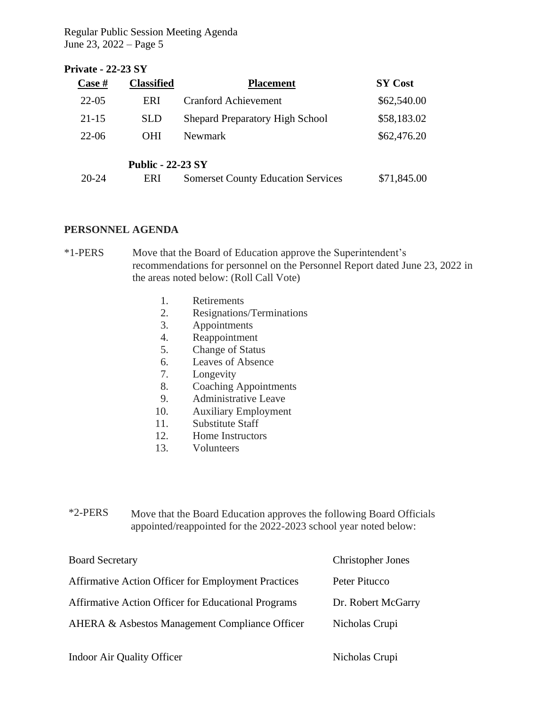## **Private - 22-23 SY**

| $\csc \#$ | <b>Classified</b>        | <b>Placement</b>                          | <b>SY Cost</b> |
|-----------|--------------------------|-------------------------------------------|----------------|
| $22 - 05$ | ERI                      | <b>Cranford Achievement</b>               | \$62,540.00    |
| $21 - 15$ | <b>SLD</b>               | <b>Shepard Preparatory High School</b>    | \$58,183.02    |
| $22 - 06$ | <b>OHI</b>               | <b>Newmark</b>                            | \$62,476.20    |
|           | <b>Public - 22-23 SY</b> |                                           |                |
| 20-24     | ERI                      | <b>Somerset County Education Services</b> | \$71,845.00    |

### **PERSONNEL AGENDA**

\*1-PERS Move that the Board of Education approve the Superintendent's recommendations for personnel on the Personnel Report dated June 23, 2022 in the areas noted below: (Roll Call Vote)

- 1. Retirements
- 2. Resignations/Terminations
- 3. Appointments
- 4. Reappointment
- 5. Change of Status
- 6. Leaves of Absence
- 7. Longevity
- 8. Coaching Appointments
- 9. Administrative Leave
- 10. Auxiliary Employment
- 11. Substitute Staff
- 12. Home Instructors
- 13. Volunteers

\*2-PERS Move that the Board Education approves the following Board Officials appointed/reappointed for the 2022-2023 school year noted below:

| <b>Board Secretary</b>                                     | <b>Christopher Jones</b> |
|------------------------------------------------------------|--------------------------|
| <b>Affirmative Action Officer for Employment Practices</b> | Peter Pitucco            |
| <b>Affirmative Action Officer for Educational Programs</b> | Dr. Robert McGarry       |
| AHERA & Asbestos Management Compliance Officer             | Nicholas Crupi           |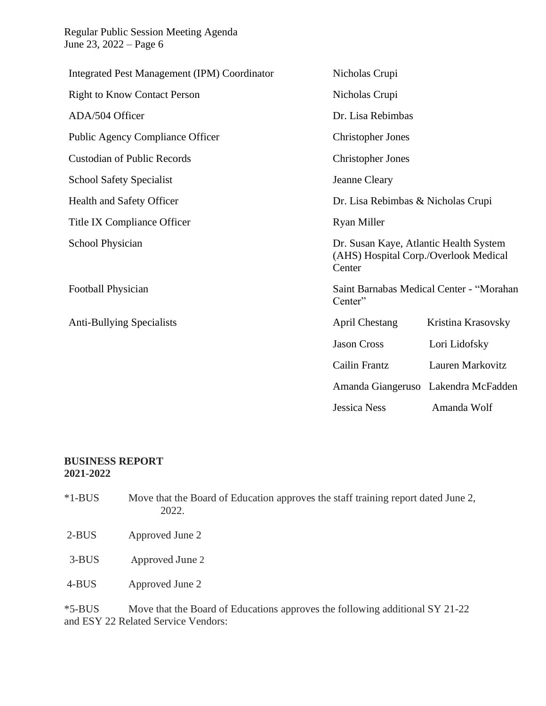| Integrated Pest Management (IPM) Coordinator | Nicholas Crupi                                                                            |                                     |  |
|----------------------------------------------|-------------------------------------------------------------------------------------------|-------------------------------------|--|
| <b>Right to Know Contact Person</b>          | Nicholas Crupi                                                                            |                                     |  |
| ADA/504 Officer                              | Dr. Lisa Rebimbas                                                                         |                                     |  |
| <b>Public Agency Compliance Officer</b>      | <b>Christopher Jones</b>                                                                  |                                     |  |
| <b>Custodian of Public Records</b>           | <b>Christopher Jones</b>                                                                  |                                     |  |
| <b>School Safety Specialist</b>              | Jeanne Cleary                                                                             |                                     |  |
| Health and Safety Officer                    | Dr. Lisa Rebimbas & Nicholas Crupi                                                        |                                     |  |
| Title IX Compliance Officer                  | <b>Ryan Miller</b>                                                                        |                                     |  |
| School Physician                             | Dr. Susan Kaye, Atlantic Health System<br>(AHS) Hospital Corp./Overlook Medical<br>Center |                                     |  |
| Football Physician                           | Saint Barnabas Medical Center - "Morahan<br>Center"                                       |                                     |  |
| <b>Anti-Bullying Specialists</b>             | <b>April Chestang</b>                                                                     | Kristina Krasovsky                  |  |
|                                              | <b>Jason Cross</b>                                                                        | Lori Lidofsky                       |  |
|                                              | Cailin Frantz                                                                             | Lauren Markovitz                    |  |
|                                              |                                                                                           | Amanda Giangeruso Lakendra McFadden |  |
|                                              | <b>Jessica Ness</b>                                                                       | Amanda Wolf                         |  |

## **BUSINESS REPORT 2021-2022**

| $*1-BUS$ | Move that the Board of Education approves the staff training report dated June 2,<br>2022. |
|----------|--------------------------------------------------------------------------------------------|
| $2-BUS$  | Approved June 2                                                                            |
| $3-BUS$  | Approved June 2                                                                            |
| 4-BUS    | Approved June 2                                                                            |
|          |                                                                                            |

\*5-BUS Move that the Board of Educations approves the following additional SY 21-22 and ESY 22 Related Service Vendors: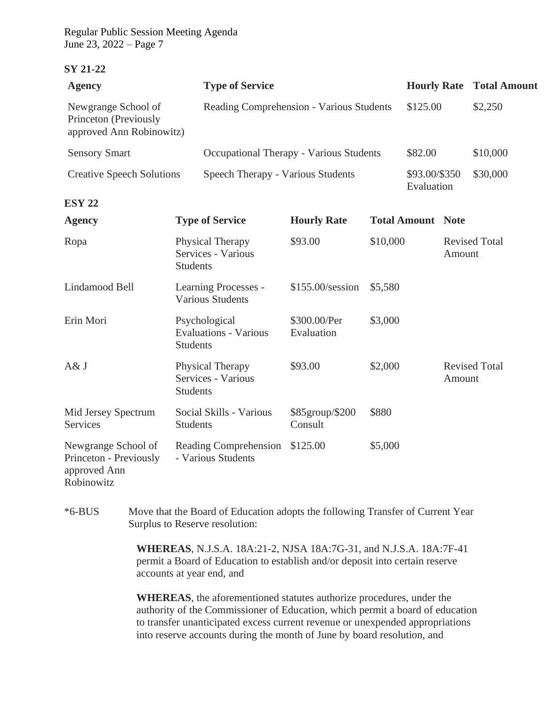#### **SY 21-22**

| <b>Agency</b>                                                               | <b>Type of Service</b>                                           |                            |          |                             |        | <b>Hourly Rate Total Amount</b> |
|-----------------------------------------------------------------------------|------------------------------------------------------------------|----------------------------|----------|-----------------------------|--------|---------------------------------|
| Newgrange School of<br>Princeton (Previously<br>approved Ann Robinowitz)    | Reading Comprehension - Various Students                         |                            |          | \$125.00                    |        | \$2,250                         |
| <b>Sensory Smart</b>                                                        | Occupational Therapy - Various Students                          |                            |          | \$82.00                     |        | \$10,000                        |
| <b>Creative Speech Solutions</b>                                            | Speech Therapy - Various Students                                |                            |          | \$93.00/\$350<br>Evaluation |        | \$30,000                        |
| <b>ESY 22</b>                                                               |                                                                  |                            |          |                             |        |                                 |
| <b>Agency</b>                                                               | <b>Type of Service</b>                                           | <b>Hourly Rate</b>         |          | <b>Total Amount Note</b>    |        |                                 |
| Ropa                                                                        | Physical Therapy<br>Services - Various<br><b>Students</b>        | \$93.00                    | \$10,000 |                             | Amount | <b>Revised Total</b>            |
| Lindamood Bell                                                              | Learning Processes -<br><b>Various Students</b>                  | \$155.00/session           | \$5,580  |                             |        |                                 |
| Erin Mori                                                                   | Psychological<br><b>Evaluations - Various</b><br><b>Students</b> | \$300.00/Per<br>Evaluation | \$3,000  |                             |        |                                 |
| A& J                                                                        | Physical Therapy<br>Services - Various<br><b>Students</b>        | \$93.00                    | \$2,000  |                             | Amount | <b>Revised Total</b>            |
| Mid Jersey Spectrum<br>Services                                             | Social Skills - Various<br><b>Students</b>                       | \$85group/\$200<br>Consult | \$880    |                             |        |                                 |
| Newgrange School of<br>Princeton - Previously<br>approved Ann<br>Robinowitz | Reading Comprehension<br>- Various Students                      | \$125.00                   | \$5,000  |                             |        |                                 |

\*6-BUS Move that the Board of Education adopts the following Transfer of Current Year Surplus to Reserve resolution:

> **WHEREAS**, N.J.S.A. 18A:21-2, NJSA 18A:7G-31, and N.J.S.A. 18A:7F-41 permit a Board of Education to establish and/or deposit into certain reserve accounts at year end, and

**WHEREAS**, the aforementioned statutes authorize procedures, under the authority of the Commissioner of Education, which permit a board of education to transfer unanticipated excess current revenue or unexpended appropriations into reserve accounts during the month of June by board resolution, and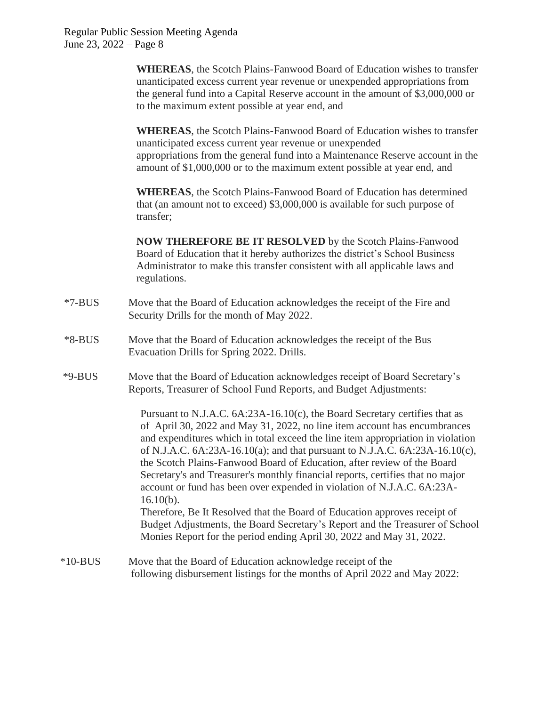**WHEREAS**, the Scotch Plains-Fanwood Board of Education wishes to transfer unanticipated excess current year revenue or unexpended appropriations from the general fund into a Capital Reserve account in the amount of \$3,000,000 or to the maximum extent possible at year end, and

**WHEREAS**, the Scotch Plains-Fanwood Board of Education wishes to transfer unanticipated excess current year revenue or unexpended appropriations from the general fund into a Maintenance Reserve account in the amount of \$1,000,000 or to the maximum extent possible at year end, and

**WHEREAS**, the Scotch Plains-Fanwood Board of Education has determined that (an amount not to exceed) \$3,000,000 is available for such purpose of transfer;

**NOW THEREFORE BE IT RESOLVED** by the Scotch Plains-Fanwood Board of Education that it hereby authorizes the district's School Business Administrator to make this transfer consistent with all applicable laws and regulations.

- \*7-BUS Move that the Board of Education acknowledges the receipt of the Fire and Security Drills for the month of May 2022.
- \*8-BUS Move that the Board of Education acknowledges the receipt of the Bus Evacuation Drills for Spring 2022. Drills.
- \*9-BUS Move that the Board of Education acknowledges receipt of Board Secretary's Reports, Treasurer of School Fund Reports, and Budget Adjustments:

Pursuant to N.J.A.C. 6A:23A-16.10(c), the Board Secretary certifies that as of April 30, 2022 and May 31, 2022, no line item account has encumbrances and expenditures which in total exceed the line item appropriation in violation of N.J.A.C. 6A:23A-16.10(a); and that pursuant to N.J.A.C. 6A:23A-16.10(c), the Scotch Plains-Fanwood Board of Education, after review of the Board Secretary's and Treasurer's monthly financial reports, certifies that no major account or fund has been over expended in violation of N.J.A.C. 6A:23A- $16.10(b)$ . Therefore, Be It Resolved that the Board of Education approves receipt of

Budget Adjustments, the Board Secretary's Report and the Treasurer of School Monies Report for the period ending April 30, 2022 and May 31, 2022.

\*10-BUS Move that the Board of Education acknowledge receipt of the following disbursement listings for the months of April 2022 and May 2022: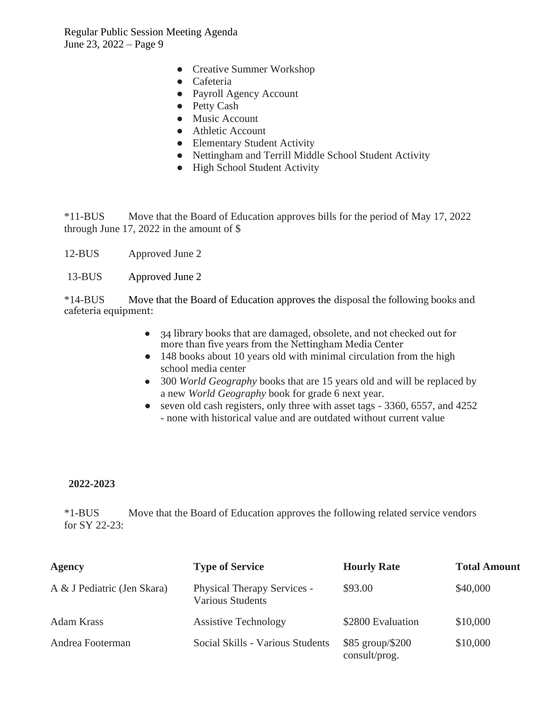- Creative Summer Workshop
- Cafeteria
- Payroll Agency Account
- Petty Cash
- Music Account
- Athletic Account
- Elementary Student Activity
- Nettingham and Terrill Middle School Student Activity
- High School Student Activity

\*11-BUS Move that the Board of Education approves bills for the period of May 17, 2022 through June 17, 2022 in the amount of \$

- 12-BUS Approved June 2
- 13-BUS Approved June 2

\*14-BUS Move that the Board of Education approves the disposal the following books and cafeteria equipment:

- 34 library books that are damaged, obsolete, and not checked out for more than five years from the Nettingham Media Center
- 148 books about 10 years old with minimal circulation from the high school media center
- 300 *World Geography* books that are 15 years old and will be replaced by a new *World Geography* book for grade 6 next year.
- seven old cash registers, only three with asset tags 3360, 6557, and 4252
	- none with historical value and are outdated without current value

### **2022-2023**

\*1-BUS Move that the Board of Education approves the following related service vendors for SY 22-23:

| <b>Agency</b>               | <b>Type of Service</b>                                        | <b>Hourly Rate</b>                | <b>Total Amount</b> |
|-----------------------------|---------------------------------------------------------------|-----------------------------------|---------------------|
| A & J Pediatric (Jen Skara) | <b>Physical Therapy Services -</b><br><b>Various Students</b> | \$93.00                           | \$40,000            |
| Adam Krass                  | <b>Assistive Technology</b>                                   | \$2800 Evaluation                 | \$10,000            |
| Andrea Footerman            | Social Skills - Various Students                              | \$85 group/\$200<br>consult/prog. | \$10,000            |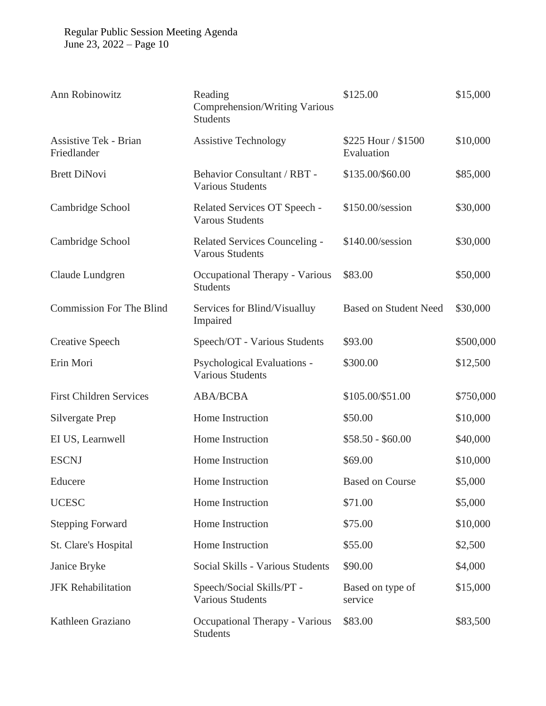| Ann Robinowitz                              | Reading<br>Comprehension/Writing Various<br><b>Students</b> | \$125.00                          | \$15,000  |
|---------------------------------------------|-------------------------------------------------------------|-----------------------------------|-----------|
| <b>Assistive Tek - Brian</b><br>Friedlander | <b>Assistive Technology</b>                                 | \$225 Hour / \$1500<br>Evaluation | \$10,000  |
| <b>Brett DiNovi</b>                         | Behavior Consultant / RBT -<br><b>Various Students</b>      | \$135.00/\$60.00                  | \$85,000  |
| Cambridge School                            | Related Services OT Speech -<br><b>Varous Students</b>      | \$150.00/session                  | \$30,000  |
| Cambridge School                            | Related Services Counceling -<br><b>Varous Students</b>     | \$140.00/session                  | \$30,000  |
| Claude Lundgren                             | Occupational Therapy - Various<br><b>Students</b>           | \$83.00                           | \$50,000  |
| <b>Commission For The Blind</b>             | Services for Blind/Visualluy<br>Impaired                    | <b>Based on Student Need</b>      | \$30,000  |
| <b>Creative Speech</b>                      | Speech/OT - Various Students                                | \$93.00                           | \$500,000 |
| Erin Mori                                   | Psychological Evaluations -<br><b>Various Students</b>      | \$300.00                          | \$12,500  |
| <b>First Children Services</b>              | <b>ABA/BCBA</b>                                             | \$105.00/\$51.00                  | \$750,000 |
| Silvergate Prep                             | Home Instruction                                            | \$50.00                           | \$10,000  |
| EI US, Learnwell                            | Home Instruction                                            | $$58.50 - $60.00$                 | \$40,000  |
| <b>ESCNJ</b>                                | Home Instruction                                            | \$69.00                           | \$10,000  |
| Educere                                     | Home Instruction                                            | <b>Based on Course</b>            | \$5,000   |
| <b>UCESC</b>                                | Home Instruction                                            | \$71.00                           | \$5,000   |
| <b>Stepping Forward</b>                     | Home Instruction                                            | \$75.00                           | \$10,000  |
| St. Clare's Hospital                        | Home Instruction                                            | \$55.00                           | \$2,500   |
| Janice Bryke                                | Social Skills - Various Students                            | \$90.00                           | \$4,000   |
| <b>JFK Rehabilitation</b>                   | Speech/Social Skills/PT -<br><b>Various Students</b>        | Based on type of<br>service       | \$15,000  |
| Kathleen Graziano                           | Occupational Therapy - Various<br><b>Students</b>           | \$83.00                           | \$83,500  |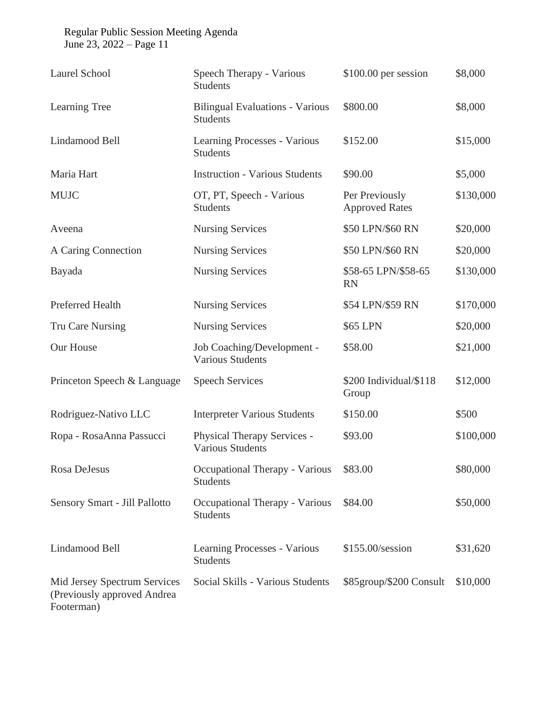| <b>Laurel School</b>                                                      | Speech Therapy - Various<br><b>Students</b>               | $$100.00$ per session                   | \$8,000   |
|---------------------------------------------------------------------------|-----------------------------------------------------------|-----------------------------------------|-----------|
| Learning Tree                                                             | <b>Bilingual Evaluations - Various</b><br><b>Students</b> | \$800.00                                | \$8,000   |
| Lindamood Bell                                                            | Learning Processes - Various<br><b>Students</b>           | \$152.00                                | \$15,000  |
| Maria Hart                                                                | <b>Instruction - Various Students</b>                     | \$90.00                                 | \$5,000   |
| <b>MUJC</b>                                                               | OT, PT, Speech - Various<br><b>Students</b>               | Per Previously<br><b>Approved Rates</b> | \$130,000 |
| Aveena                                                                    | <b>Nursing Services</b>                                   | \$50 LPN/\$60 RN                        | \$20,000  |
| A Caring Connection                                                       | <b>Nursing Services</b>                                   | \$50 LPN/\$60 RN                        | \$20,000  |
| Bayada                                                                    | <b>Nursing Services</b>                                   | \$58-65 LPN/\$58-65<br><b>RN</b>        | \$130,000 |
| <b>Preferred Health</b>                                                   | <b>Nursing Services</b>                                   | \$54 LPN/\$59 RN                        | \$170,000 |
| Tru Care Nursing                                                          | <b>Nursing Services</b>                                   | \$65 LPN                                | \$20,000  |
| Our House                                                                 | Job Coaching/Development -<br><b>Various Students</b>     | \$58.00                                 | \$21,000  |
| Princeton Speech & Language                                               | <b>Speech Services</b>                                    | \$200 Individual/\$118<br>Group         | \$12,000  |
| Rodriguez-Nativo LLC                                                      | <b>Interpreter Various Students</b>                       | \$150.00                                | \$500     |
| Ropa - RosaAnna Passucci                                                  | Physical Therapy Services -<br><b>Various Students</b>    | \$93.00                                 | \$100,000 |
| Rosa DeJesus                                                              | Occupational Therapy - Various<br><b>Students</b>         | \$83.00                                 | \$80,000  |
| Sensory Smart - Jill Pallotto                                             | Occupational Therapy - Various<br><b>Students</b>         | \$84.00                                 | \$50,000  |
| Lindamood Bell                                                            | Learning Processes - Various<br><b>Students</b>           | \$155.00/session                        | \$31,620  |
| Mid Jersey Spectrum Services<br>(Previously approved Andrea<br>Footerman) | Social Skills - Various Students                          | \$85group/\$200 Consult                 | \$10,000  |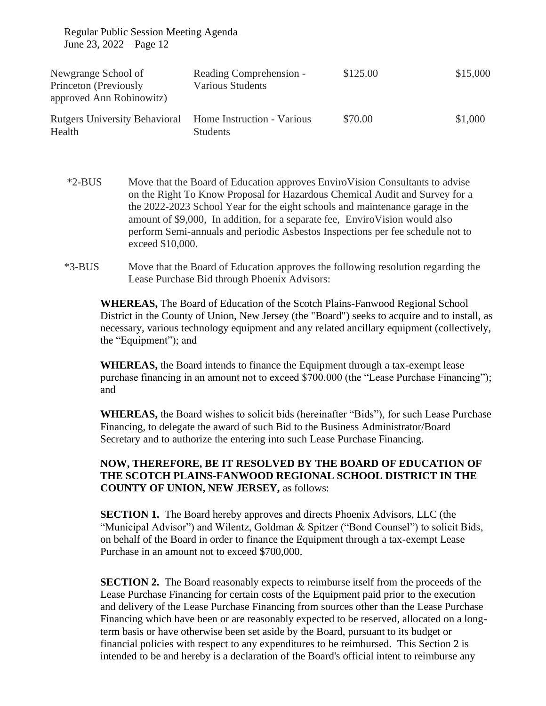| Newgrange School of<br>Princeton (Previously<br>approved Ann Robinowitz) | Reading Comprehension -<br>Various Students   | \$125.00 | \$15,000 |
|--------------------------------------------------------------------------|-----------------------------------------------|----------|----------|
| <b>Rutgers University Behavioral</b><br>Health                           | Home Instruction - Various<br><b>Students</b> | \$70.00  | \$1,000  |

- \*2-BUS Move that the Board of Education approves EnviroVision Consultants to advise on the Right To Know Proposal for Hazardous Chemical Audit and Survey for a the 2022-2023 School Year for the eight schools and maintenance garage in the amount of \$9,000, In addition, for a separate fee, EnviroVision would also perform Semi-annuals and periodic Asbestos Inspections per fee schedule not to exceed \$10,000.
- \*3-BUS Move that the Board of Education approves the following resolution regarding the Lease Purchase Bid through Phoenix Advisors:

**WHEREAS,** The Board of Education of the Scotch Plains-Fanwood Regional School District in the County of Union, New Jersey (the "Board") seeks to acquire and to install, as necessary, various technology equipment and any related ancillary equipment (collectively, the "Equipment"); and

**WHEREAS,** the Board intends to finance the Equipment through a tax-exempt lease purchase financing in an amount not to exceed \$700,000 (the "Lease Purchase Financing"); and

**WHEREAS,** the Board wishes to solicit bids (hereinafter "Bids"), for such Lease Purchase Financing, to delegate the award of such Bid to the Business Administrator/Board Secretary and to authorize the entering into such Lease Purchase Financing.

## **NOW, THEREFORE, BE IT RESOLVED BY THE BOARD OF EDUCATION OF THE SCOTCH PLAINS-FANWOOD REGIONAL SCHOOL DISTRICT IN THE COUNTY OF UNION, NEW JERSEY,** as follows:

**SECTION 1.** The Board hereby approves and directs Phoenix Advisors, LLC (the "Municipal Advisor") and Wilentz, Goldman & Spitzer ("Bond Counsel") to solicit Bids, on behalf of the Board in order to finance the Equipment through a tax-exempt Lease Purchase in an amount not to exceed \$700,000.

**SECTION 2.** The Board reasonably expects to reimburse itself from the proceeds of the Lease Purchase Financing for certain costs of the Equipment paid prior to the execution and delivery of the Lease Purchase Financing from sources other than the Lease Purchase Financing which have been or are reasonably expected to be reserved, allocated on a longterm basis or have otherwise been set aside by the Board, pursuant to its budget or financial policies with respect to any expenditures to be reimbursed. This Section 2 is intended to be and hereby is a declaration of the Board's official intent to reimburse any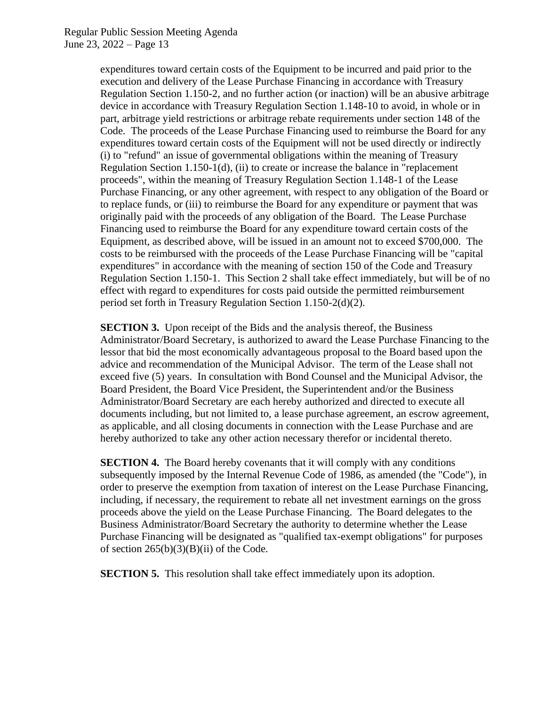> expenditures toward certain costs of the Equipment to be incurred and paid prior to the execution and delivery of the Lease Purchase Financing in accordance with Treasury Regulation Section 1.150-2, and no further action (or inaction) will be an abusive arbitrage device in accordance with Treasury Regulation Section 1.148-10 to avoid, in whole or in part, arbitrage yield restrictions or arbitrage rebate requirements under section 148 of the Code. The proceeds of the Lease Purchase Financing used to reimburse the Board for any expenditures toward certain costs of the Equipment will not be used directly or indirectly (i) to "refund" an issue of governmental obligations within the meaning of Treasury Regulation Section 1.150-1(d), (ii) to create or increase the balance in "replacement proceeds", within the meaning of Treasury Regulation Section 1.148-1 of the Lease Purchase Financing, or any other agreement, with respect to any obligation of the Board or to replace funds, or (iii) to reimburse the Board for any expenditure or payment that was originally paid with the proceeds of any obligation of the Board. The Lease Purchase Financing used to reimburse the Board for any expenditure toward certain costs of the Equipment, as described above, will be issued in an amount not to exceed \$700,000. The costs to be reimbursed with the proceeds of the Lease Purchase Financing will be "capital expenditures" in accordance with the meaning of section 150 of the Code and Treasury Regulation Section 1.150-1. This Section 2 shall take effect immediately, but will be of no effect with regard to expenditures for costs paid outside the permitted reimbursement period set forth in Treasury Regulation Section 1.150-2(d)(2).

> **SECTION 3.** Upon receipt of the Bids and the analysis thereof, the Business Administrator/Board Secretary, is authorized to award the Lease Purchase Financing to the lessor that bid the most economically advantageous proposal to the Board based upon the advice and recommendation of the Municipal Advisor. The term of the Lease shall not exceed five (5) years. In consultation with Bond Counsel and the Municipal Advisor, the Board President, the Board Vice President, the Superintendent and/or the Business Administrator/Board Secretary are each hereby authorized and directed to execute all documents including, but not limited to, a lease purchase agreement, an escrow agreement, as applicable, and all closing documents in connection with the Lease Purchase and are hereby authorized to take any other action necessary therefor or incidental thereto.

> **SECTION 4.** The Board hereby covenants that it will comply with any conditions subsequently imposed by the Internal Revenue Code of 1986, as amended (the "Code"), in order to preserve the exemption from taxation of interest on the Lease Purchase Financing, including, if necessary, the requirement to rebate all net investment earnings on the gross proceeds above the yield on the Lease Purchase Financing. The Board delegates to the Business Administrator/Board Secretary the authority to determine whether the Lease Purchase Financing will be designated as "qualified tax-exempt obligations" for purposes of section  $265(b)(3)(B)(ii)$  of the Code.

**SECTION 5.** This resolution shall take effect immediately upon its adoption.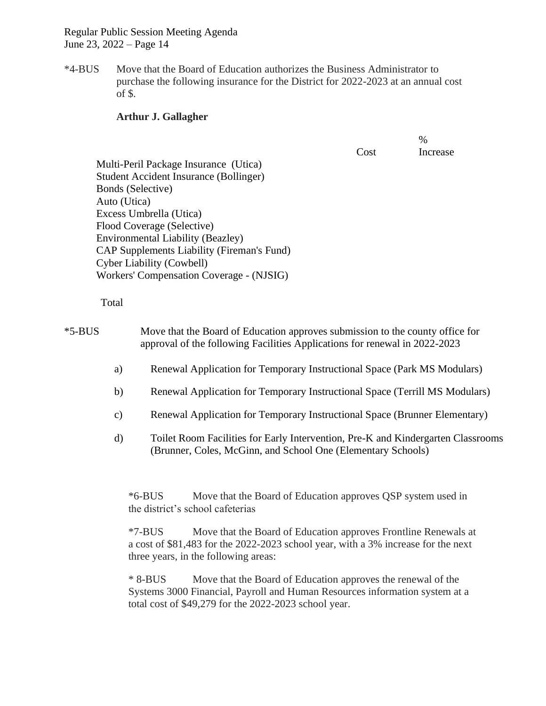\*4-BUS Move that the Board of Education authorizes the Business Administrator to purchase the following insurance for the District for 2022-2023 at an annual cost of \$.

#### **Arthur J. Gallagher**

Cost % Increase

Multi-Peril Package Insurance (Utica) Student Accident Insurance (Bollinger) Bonds (Selective) Auto (Utica) Excess Umbrella (Utica) Flood Coverage (Selective) Environmental Liability (Beazley) CAP Supplements Liability (Fireman's Fund) Cyber Liability (Cowbell) Workers' Compensation Coverage - (NJSIG)

Total

\*5-BUS Move that the Board of Education approves submission to the county office for approval of the following Facilities Applications for renewal in 2022-2023

- a) Renewal Application for Temporary Instructional Space (Park MS Modulars)
- b) Renewal Application for Temporary Instructional Space (Terrill MS Modulars)
- c) Renewal Application for Temporary Instructional Space (Brunner Elementary)
- d) Toilet Room Facilities for Early Intervention, Pre-K and Kindergarten Classrooms (Brunner, Coles, McGinn, and School One (Elementary Schools)

\*6-BUS Move that the Board of Education approves QSP system used in the district's school cafeterias

\*7-BUS Move that the Board of Education approves Frontline Renewals at a cost of \$81,483 for the 2022-2023 school year, with a 3% increase for the next three years, in the following areas:

\* 8-BUS Move that the Board of Education approves the renewal of the Systems 3000 Financial, Payroll and Human Resources information system at a total cost of \$49,279 for the 2022-2023 school year.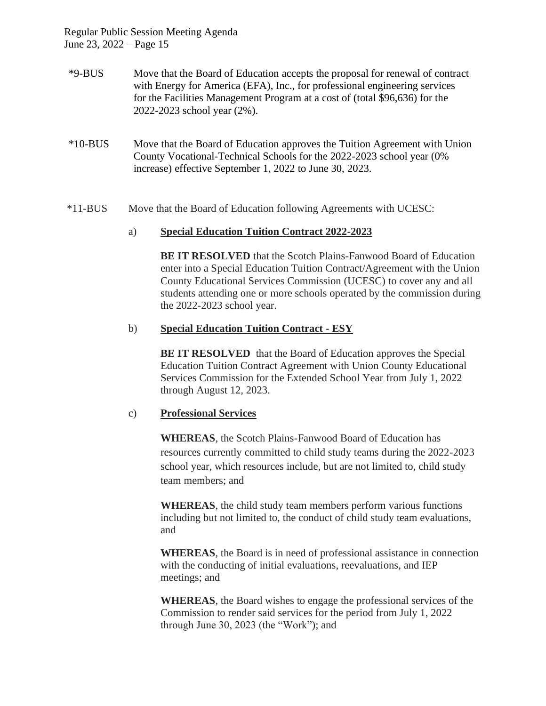- \*9-BUS Move that the Board of Education accepts the proposal for renewal of contract with Energy for America (EFA), Inc., for professional engineering services for the Facilities Management Program at a cost of (total \$96,636) for the 2022-2023 school year (2%).
- \*10-BUS Move that the Board of Education approves the Tuition Agreement with Union County Vocational-Technical Schools for the 2022-2023 school year (0% increase) effective September 1, 2022 to June 30, 2023.
- \*11-BUS Move that the Board of Education following Agreements with UCESC:

### a) **Special Education Tuition Contract 2022-2023**

**BE IT RESOLVED** that the Scotch Plains-Fanwood Board of Education enter into a Special Education Tuition Contract/Agreement with the Union County Educational Services Commission (UCESC) to cover any and all students attending one or more schools operated by the commission during the 2022-2023 school year.

### b) **Special Education Tuition Contract - ESY**

**BE IT RESOLVED** that the Board of Education approves the Special Education Tuition Contract Agreement with Union County Educational Services Commission for the Extended School Year from July 1, 2022 through August 12, 2023.

### c) **Professional Services**

**WHEREAS**, the Scotch Plains-Fanwood Board of Education has resources currently committed to child study teams during the 2022-2023 school year, which resources include, but are not limited to, child study team members; and

**WHEREAS**, the child study team members perform various functions including but not limited to, the conduct of child study team evaluations, and

**WHEREAS**, the Board is in need of professional assistance in connection with the conducting of initial evaluations, reevaluations, and IEP meetings; and

**WHEREAS**, the Board wishes to engage the professional services of the Commission to render said services for the period from July 1, 2022 through June 30, 2023 (the "Work"); and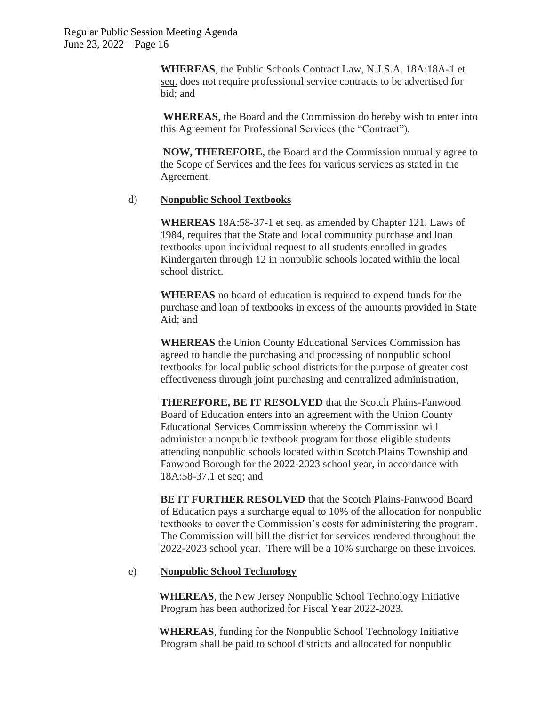**WHEREAS**, the Public Schools Contract Law, N.J.S.A. 18A:18A-1 et seq. does not require professional service contracts to be advertised for bid; and

**WHEREAS**, the Board and the Commission do hereby wish to enter into this Agreement for Professional Services (the "Contract"),

**NOW, THEREFORE**, the Board and the Commission mutually agree to the Scope of Services and the fees for various services as stated in the Agreement.

## d) **Nonpublic School Textbooks**

**WHEREAS** 18A:58-37-1 et seq. as amended by Chapter 121, Laws of 1984, requires that the State and local community purchase and loan textbooks upon individual request to all students enrolled in grades Kindergarten through 12 in nonpublic schools located within the local school district.

**WHEREAS** no board of education is required to expend funds for the purchase and loan of textbooks in excess of the amounts provided in State Aid; and

**WHEREAS** the Union County Educational Services Commission has agreed to handle the purchasing and processing of nonpublic school textbooks for local public school districts for the purpose of greater cost effectiveness through joint purchasing and centralized administration,

**THEREFORE, BE IT RESOLVED** that the Scotch Plains-Fanwood Board of Education enters into an agreement with the Union County Educational Services Commission whereby the Commission will administer a nonpublic textbook program for those eligible students attending nonpublic schools located within Scotch Plains Township and Fanwood Borough for the 2022-2023 school year, in accordance with 18A:58-37.1 et seq; and

**BE IT FURTHER RESOLVED** that the Scotch Plains-Fanwood Board of Education pays a surcharge equal to 10% of the allocation for nonpublic textbooks to cover the Commission's costs for administering the program. The Commission will bill the district for services rendered throughout the 2022-2023 school year. There will be a 10% surcharge on these invoices.

## e) **Nonpublic School Technology**

**WHEREAS**, the New Jersey Nonpublic School Technology Initiative Program has been authorized for Fiscal Year 2022-2023.

**WHEREAS**, funding for the Nonpublic School Technology Initiative Program shall be paid to school districts and allocated for nonpublic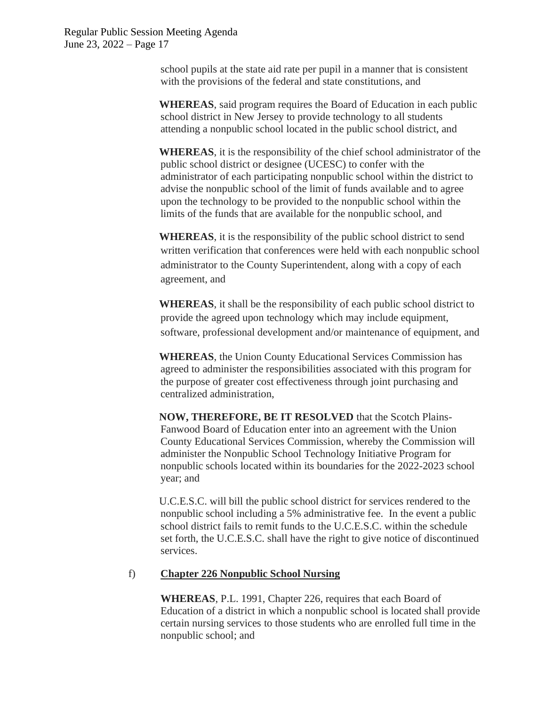> school pupils at the state aid rate per pupil in a manner that is consistent with the provisions of the federal and state constitutions, and

**WHEREAS**, said program requires the Board of Education in each public school district in New Jersey to provide technology to all students attending a nonpublic school located in the public school district, and

**WHEREAS**, it is the responsibility of the chief school administrator of the public school district or designee (UCESC) to confer with the administrator of each participating nonpublic school within the district to advise the nonpublic school of the limit of funds available and to agree upon the technology to be provided to the nonpublic school within the limits of the funds that are available for the nonpublic school, and

**WHEREAS**, it is the responsibility of the public school district to send written verification that conferences were held with each nonpublic school administrator to the County Superintendent, along with a copy of each agreement, and

**WHEREAS**, it shall be the responsibility of each public school district to provide the agreed upon technology which may include equipment, software, professional development and/or maintenance of equipment, and

**WHEREAS**, the Union County Educational Services Commission has agreed to administer the responsibilities associated with this program for the purpose of greater cost effectiveness through joint purchasing and centralized administration,

**NOW, THEREFORE, BE IT RESOLVED** that the Scotch Plains-Fanwood Board of Education enter into an agreement with the Union County Educational Services Commission, whereby the Commission will administer the Nonpublic School Technology Initiative Program for nonpublic schools located within its boundaries for the 2022-2023 school year; and

U.C.E.S.C. will bill the public school district for services rendered to the nonpublic school including a 5% administrative fee. In the event a public school district fails to remit funds to the U.C.E.S.C. within the schedule set forth, the U.C.E.S.C. shall have the right to give notice of discontinued services.

### f) **Chapter 226 Nonpublic School Nursing**

**WHEREAS**, P.L. 1991, Chapter 226, requires that each Board of Education of a district in which a nonpublic school is located shall provide certain nursing services to those students who are enrolled full time in the nonpublic school; and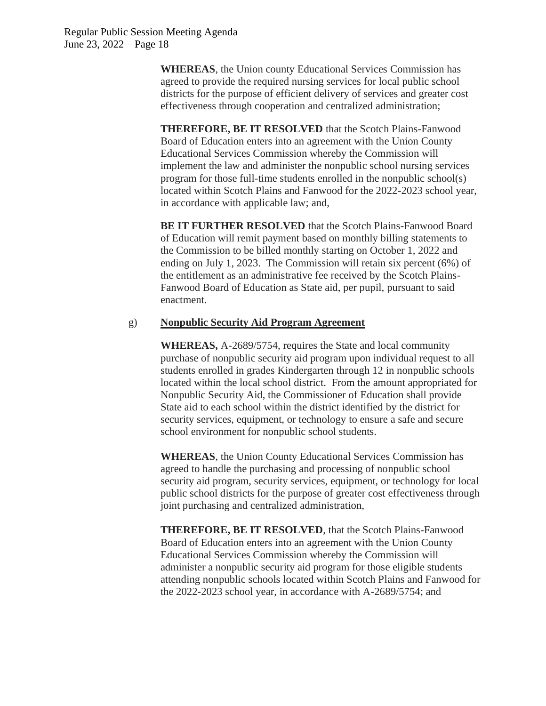**WHEREAS**, the Union county Educational Services Commission has agreed to provide the required nursing services for local public school districts for the purpose of efficient delivery of services and greater cost effectiveness through cooperation and centralized administration;

**THEREFORE, BE IT RESOLVED** that the Scotch Plains-Fanwood Board of Education enters into an agreement with the Union County Educational Services Commission whereby the Commission will implement the law and administer the nonpublic school nursing services program for those full-time students enrolled in the nonpublic school(s) located within Scotch Plains and Fanwood for the 2022-2023 school year, in accordance with applicable law; and,

**BE IT FURTHER RESOLVED** that the Scotch Plains-Fanwood Board of Education will remit payment based on monthly billing statements to the Commission to be billed monthly starting on October 1, 2022 and ending on July 1, 2023. The Commission will retain six percent (6%) of the entitlement as an administrative fee received by the Scotch Plains-Fanwood Board of Education as State aid, per pupil, pursuant to said enactment.

## g) **Nonpublic Security Aid Program Agreement**

**WHEREAS,** A-2689/5754, requires the State and local community purchase of nonpublic security aid program upon individual request to all students enrolled in grades Kindergarten through 12 in nonpublic schools located within the local school district. From the amount appropriated for Nonpublic Security Aid, the Commissioner of Education shall provide State aid to each school within the district identified by the district for security services, equipment, or technology to ensure a safe and secure school environment for nonpublic school students.

**WHEREAS**, the Union County Educational Services Commission has agreed to handle the purchasing and processing of nonpublic school security aid program, security services, equipment, or technology for local public school districts for the purpose of greater cost effectiveness through joint purchasing and centralized administration,

**THEREFORE, BE IT RESOLVED**, that the Scotch Plains-Fanwood Board of Education enters into an agreement with the Union County Educational Services Commission whereby the Commission will administer a nonpublic security aid program for those eligible students attending nonpublic schools located within Scotch Plains and Fanwood for the 2022-2023 school year, in accordance with A-2689/5754; and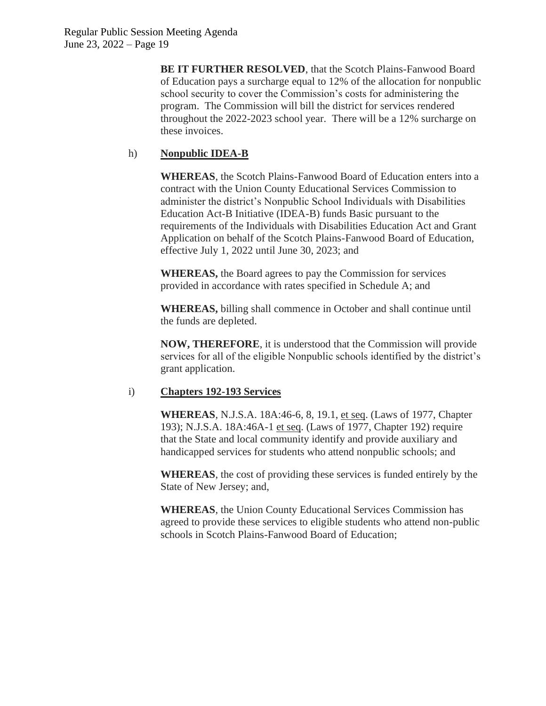**BE IT FURTHER RESOLVED**, that the Scotch Plains-Fanwood Board of Education pays a surcharge equal to 12% of the allocation for nonpublic school security to cover the Commission's costs for administering the program. The Commission will bill the district for services rendered throughout the 2022-2023 school year. There will be a 12% surcharge on these invoices.

# h) **Nonpublic IDEA-B**

**WHEREAS**, the Scotch Plains-Fanwood Board of Education enters into a contract with the Union County Educational Services Commission to administer the district's Nonpublic School Individuals with Disabilities Education Act-B Initiative (IDEA-B) funds Basic pursuant to the requirements of the Individuals with Disabilities Education Act and Grant Application on behalf of the Scotch Plains-Fanwood Board of Education, effective July 1, 2022 until June 30, 2023; and

**WHEREAS,** the Board agrees to pay the Commission for services provided in accordance with rates specified in Schedule A; and

**WHEREAS,** billing shall commence in October and shall continue until the funds are depleted.

**NOW, THEREFORE**, it is understood that the Commission will provide services for all of the eligible Nonpublic schools identified by the district's grant application.

## i) **Chapters 192-193 Services**

**WHEREAS**, N.J.S.A. 18A:46-6, 8, 19.1, et seq. (Laws of 1977, Chapter 193); N.J.S.A. 18A:46A-1 et seq. (Laws of 1977, Chapter 192) require that the State and local community identify and provide auxiliary and handicapped services for students who attend nonpublic schools; and

**WHEREAS**, the cost of providing these services is funded entirely by the State of New Jersey; and,

**WHEREAS**, the Union County Educational Services Commission has agreed to provide these services to eligible students who attend non-public schools in Scotch Plains-Fanwood Board of Education;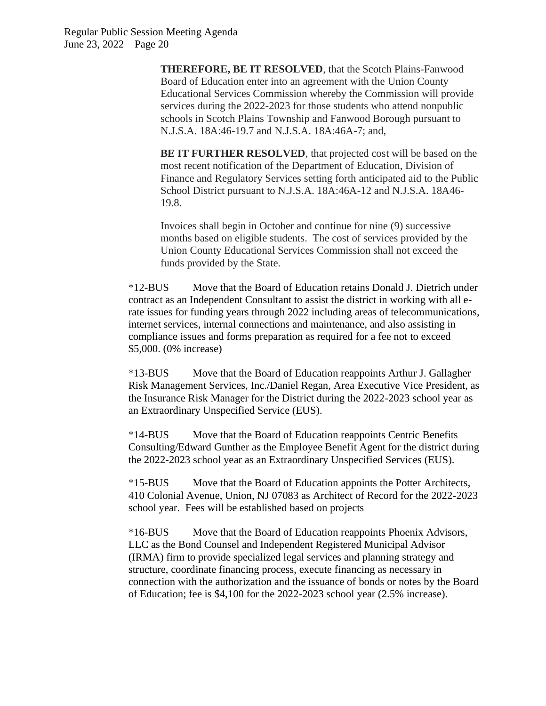**THEREFORE, BE IT RESOLVED**, that the Scotch Plains-Fanwood Board of Education enter into an agreement with the Union County Educational Services Commission whereby the Commission will provide services during the 2022-2023 for those students who attend nonpublic schools in Scotch Plains Township and Fanwood Borough pursuant to N.J.S.A. 18A:46-19.7 and N.J.S.A. 18A:46A-7; and,

**BE IT FURTHER RESOLVED**, that projected cost will be based on the most recent notification of the Department of Education, Division of Finance and Regulatory Services setting forth anticipated aid to the Public School District pursuant to N.J.S.A. 18A:46A-12 and N.J.S.A. 18A46- 19.8.

Invoices shall begin in October and continue for nine (9) successive months based on eligible students. The cost of services provided by the Union County Educational Services Commission shall not exceed the funds provided by the State.

\*12-BUS Move that the Board of Education retains Donald J. Dietrich under contract as an Independent Consultant to assist the district in working with all erate issues for funding years through 2022 including areas of telecommunications, internet services, internal connections and maintenance, and also assisting in compliance issues and forms preparation as required for a fee not to exceed \$5,000. (0% increase)

\*13-BUS Move that the Board of Education reappoints Arthur J. Gallagher Risk Management Services, Inc./Daniel Regan, Area Executive Vice President, as the Insurance Risk Manager for the District during the 2022-2023 school year as an Extraordinary Unspecified Service (EUS).

\*14-BUS Move that the Board of Education reappoints Centric Benefits Consulting/Edward Gunther as the Employee Benefit Agent for the district during the 2022-2023 school year as an Extraordinary Unspecified Services (EUS).

\*15-BUS Move that the Board of Education appoints the Potter Architects, 410 Colonial Avenue, Union, NJ 07083 as Architect of Record for the 2022-2023 school year. Fees will be established based on projects

\*16-BUS Move that the Board of Education reappoints Phoenix Advisors, LLC as the Bond Counsel and Independent Registered Municipal Advisor (IRMA) firm to provide specialized legal services and planning strategy and structure, coordinate financing process, execute financing as necessary in connection with the authorization and the issuance of bonds or notes by the Board of Education; fee is \$4,100 for the 2022-2023 school year (2.5% increase).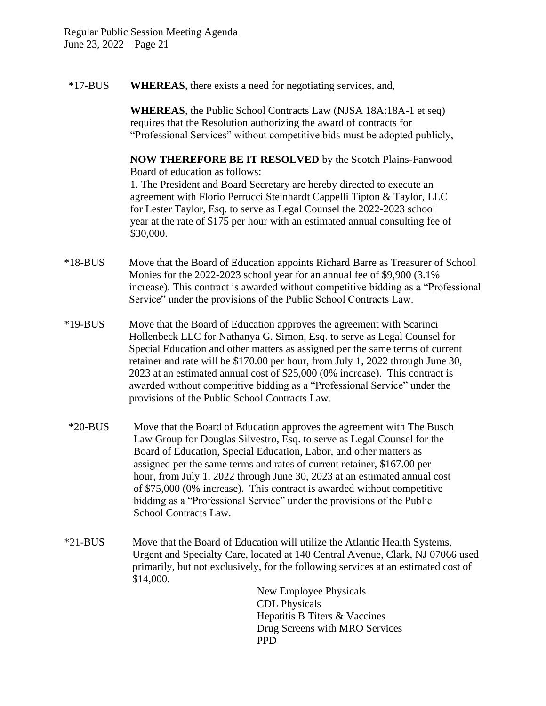\*17-BUS **WHEREAS,** there exists a need for negotiating services, and,

**WHEREAS**, the Public School Contracts Law (NJSA 18A:18A-1 et seq) requires that the Resolution authorizing the award of contracts for "Professional Services" without competitive bids must be adopted publicly,

**NOW THEREFORE BE IT RESOLVED** by the Scotch Plains-Fanwood Board of education as follows: 1. The President and Board Secretary are hereby directed to execute an agreement with Florio Perrucci Steinhardt Cappelli Tipton & Taylor, LLC for Lester Taylor, Esq. to serve as Legal Counsel the 2022-2023 school year at the rate of \$175 per hour with an estimated annual consulting fee of \$30,000.

- \*18-BUS Move that the Board of Education appoints Richard Barre as Treasurer of School Monies for the 2022-2023 school year for an annual fee of \$9,900 (3.1%) increase). This contract is awarded without competitive bidding as a "Professional Service" under the provisions of the Public School Contracts Law.
- \*19-BUS Move that the Board of Education approves the agreement with Scarinci Hollenbeck LLC for Nathanya G. Simon, Esq. to serve as Legal Counsel for Special Education and other matters as assigned per the same terms of current retainer and rate will be \$170.00 per hour, from July 1, 2022 through June 30, 2023 at an estimated annual cost of \$25,000 (0% increase). This contract is awarded without competitive bidding as a "Professional Service" under the provisions of the Public School Contracts Law.
- \*20-BUS Move that the Board of Education approves the agreement with The Busch Law Group for Douglas Silvestro, Esq. to serve as Legal Counsel for the Board of Education, Special Education, Labor, and other matters as assigned per the same terms and rates of current retainer, \$167.00 per hour, from July 1, 2022 through June 30, 2023 at an estimated annual cost of \$75,000 (0% increase). This contract is awarded without competitive bidding as a "Professional Service" under the provisions of the Public School Contracts Law.
- \*21-BUS Move that the Board of Education will utilize the Atlantic Health Systems, Urgent and Specialty Care, located at 140 Central Avenue, Clark, NJ 07066 used primarily, but not exclusively, for the following services at an estimated cost of \$14,000.

New Employee Physicals CDL Physicals Hepatitis B Titers & Vaccines Drug Screens with MRO Services PPD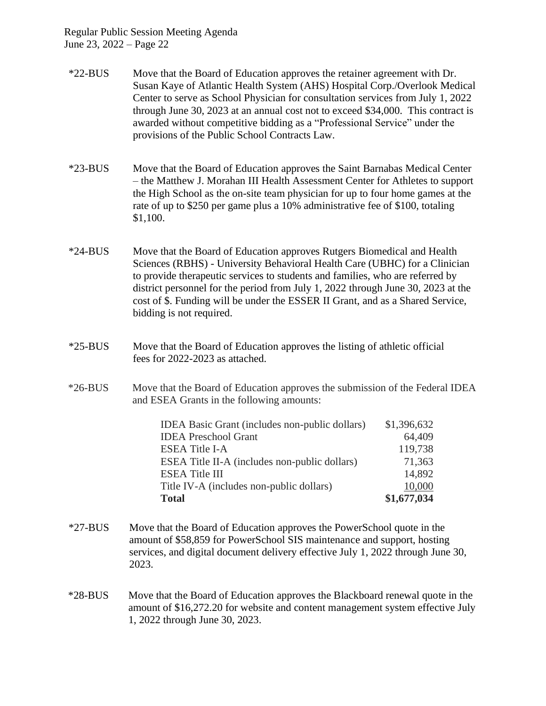- \*22-BUS Move that the Board of Education approves the retainer agreement with Dr. Susan Kaye of Atlantic Health System (AHS) Hospital Corp./Overlook Medical Center to serve as School Physician for consultation services from July 1, 2022 through June 30, 2023 at an annual cost not to exceed \$34,000. This contract is awarded without competitive bidding as a "Professional Service" under the provisions of the Public School Contracts Law.
- \*23-BUS Move that the Board of Education approves the Saint Barnabas Medical Center – the Matthew J. Morahan III Health Assessment Center for Athletes to support the High School as the on-site team physician for up to four home games at the rate of up to \$250 per game plus a 10% administrative fee of \$100, totaling \$1,100.
- \*24-BUS Move that the Board of Education approves Rutgers Biomedical and Health Sciences (RBHS) - University Behavioral Health Care (UBHC) for a Clinician to provide therapeutic services to students and families, who are referred by district personnel for the period from July 1, 2022 through June 30, 2023 at the cost of \$. Funding will be under the ESSER II Grant, and as a Shared Service, bidding is not required.
- \*25-BUS Move that the Board of Education approves the listing of athletic official fees for 2022-2023 as attached.
- \*26-BUS Move that the Board of Education approves the submission of the Federal IDEA and ESEA Grants in the following amounts:

| <b>IDEA</b> Basic Grant (includes non-public dollars) | \$1,396,632 |
|-------------------------------------------------------|-------------|
| <b>IDEA</b> Preschool Grant                           | 64,409      |
| <b>ESEA Title I-A</b>                                 | 119,738     |
| ESEA Title II-A (includes non-public dollars)         | 71,363      |
| <b>ESEA Title III</b>                                 | 14,892      |
| Title IV-A (includes non-public dollars)              | 10,000      |
| <b>Total</b>                                          | \$1,677,034 |

- \*27-BUS Move that the Board of Education approves the PowerSchool quote in the amount of \$58,859 for PowerSchool SIS maintenance and support, hosting services, and digital document delivery effective July 1, 2022 through June 30, 2023.
- \*28-BUS Move that the Board of Education approves the Blackboard renewal quote in the amount of \$16,272.20 for website and content management system effective July 1, 2022 through June 30, 2023.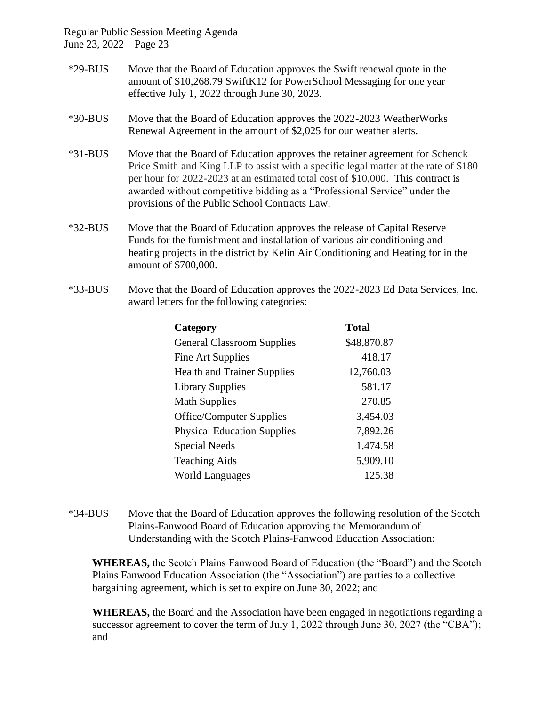- \*29-BUS Move that the Board of Education approves the Swift renewal quote in the amount of \$10,268.79 SwiftK12 for PowerSchool Messaging for one year effective July 1, 2022 through June 30, 2023.
- \*30-BUS Move that the Board of Education approves the 2022-2023 WeatherWorks Renewal Agreement in the amount of \$2,025 for our weather alerts.
- \*31-BUS Move that the Board of Education approves the retainer agreement for Schenck Price Smith and King LLP to assist with a specific legal matter at the rate of \$180 per hour for 2022-2023 at an estimated total cost of \$10,000. This contract is awarded without competitive bidding as a "Professional Service" under the provisions of the Public School Contracts Law.
- \*32-BUS Move that the Board of Education approves the release of Capital Reserve Funds for the furnishment and installation of various air conditioning and heating projects in the district by Kelin Air Conditioning and Heating for in the amount of \$700,000.
- \*33-BUS Move that the Board of Education approves the 2022-2023 Ed Data Services, Inc. award letters for the following categories:

| Category                           | <b>Total</b> |
|------------------------------------|--------------|
| <b>General Classroom Supplies</b>  | \$48,870.87  |
| Fine Art Supplies                  | 418.17       |
| <b>Health and Trainer Supplies</b> | 12,760.03    |
| <b>Library Supplies</b>            | 581.17       |
| <b>Math Supplies</b>               | 270.85       |
| <b>Office/Computer Supplies</b>    | 3,454.03     |
| <b>Physical Education Supplies</b> | 7,892.26     |
| <b>Special Needs</b>               | 1,474.58     |
| <b>Teaching Aids</b>               | 5,909.10     |
| <b>World Languages</b>             | 125.38       |

\*34-BUS Move that the Board of Education approves the following resolution of the Scotch Plains-Fanwood Board of Education approving the Memorandum of Understanding with the Scotch Plains-Fanwood Education Association:

**WHEREAS,** the Scotch Plains Fanwood Board of Education (the "Board") and the Scotch Plains Fanwood Education Association (the "Association") are parties to a collective bargaining agreement, which is set to expire on June 30, 2022; and

**WHEREAS,** the Board and the Association have been engaged in negotiations regarding a successor agreement to cover the term of July 1, 2022 through June 30, 2027 (the "CBA"); and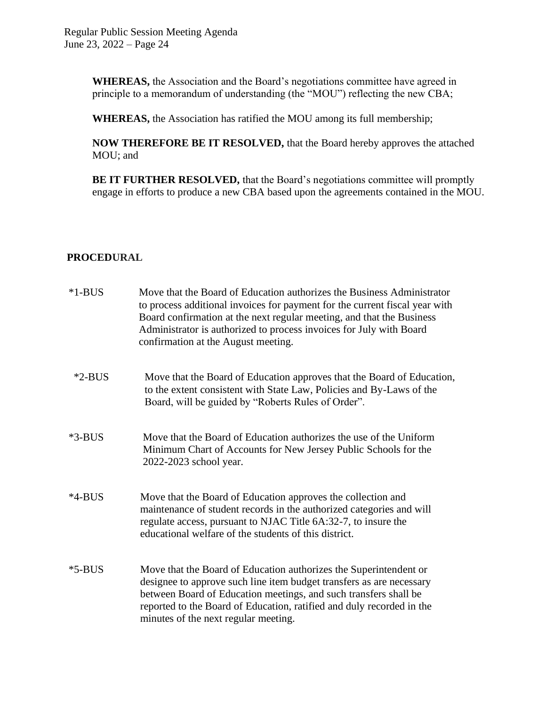**WHEREAS,** the Association and the Board's negotiations committee have agreed in principle to a memorandum of understanding (the "MOU") reflecting the new CBA;

**WHEREAS,** the Association has ratified the MOU among its full membership;

**NOW THEREFORE BE IT RESOLVED,** that the Board hereby approves the attached MOU; and

**BE IT FURTHER RESOLVED,** that the Board's negotiations committee will promptly engage in efforts to produce a new CBA based upon the agreements contained in the MOU.

# **PROCEDURAL**

| $*1-BUS$ | Move that the Board of Education authorizes the Business Administrator<br>to process additional invoices for payment for the current fiscal year with<br>Board confirmation at the next regular meeting, and that the Business<br>Administrator is authorized to process invoices for July with Board<br>confirmation at the August meeting. |
|----------|----------------------------------------------------------------------------------------------------------------------------------------------------------------------------------------------------------------------------------------------------------------------------------------------------------------------------------------------|
| $*2-BUS$ | Move that the Board of Education approves that the Board of Education,<br>to the extent consistent with State Law, Policies and By-Laws of the<br>Board, will be guided by "Roberts Rules of Order".                                                                                                                                         |
| $*3-BUS$ | Move that the Board of Education authorizes the use of the Uniform<br>Minimum Chart of Accounts for New Jersey Public Schools for the<br>2022-2023 school year.                                                                                                                                                                              |
| $*4-BUS$ | Move that the Board of Education approves the collection and<br>maintenance of student records in the authorized categories and will<br>regulate access, pursuant to NJAC Title 6A:32-7, to insure the<br>educational welfare of the students of this district.                                                                              |
| $*5-BUS$ | Move that the Board of Education authorizes the Superintendent or<br>designee to approve such line item budget transfers as are necessary<br>between Board of Education meetings, and such transfers shall be<br>reported to the Board of Education, ratified and duly recorded in the<br>minutes of the next regular meeting.               |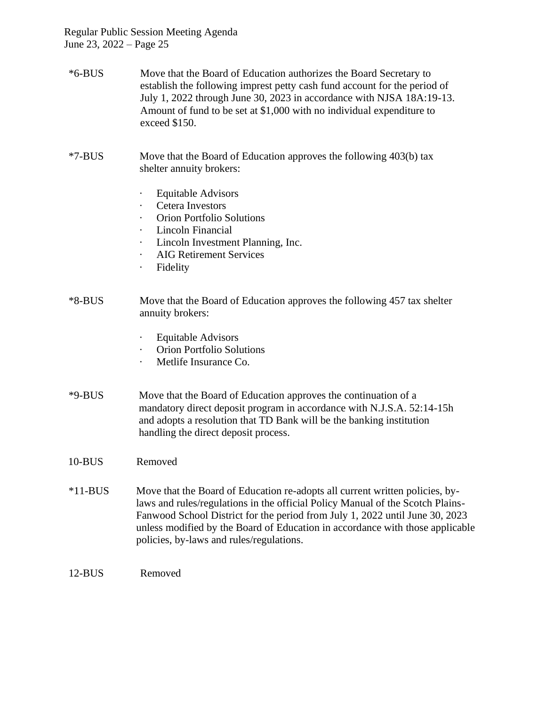- \*6-BUS Move that the Board of Education authorizes the Board Secretary to establish the following imprest petty cash fund account for the period of July 1, 2022 through June 30, 2023 in accordance with NJSA 18A:19-13. Amount of fund to be set at \$1,000 with no individual expenditure to exceed \$150.
- \*7-BUS Move that the Board of Education approves the following 403(b) tax shelter annuity brokers:
	- · Equitable Advisors
	- Cetera Investors
	- · Orion Portfolio Solutions
	- · Lincoln Financial
	- · Lincoln Investment Planning, Inc.
	- · AIG Retirement Services
	- · Fidelity
- \*8-BUS Move that the Board of Education approves the following 457 tax shelter annuity brokers:
	- · Equitable Advisors
	- · Orion Portfolio Solutions
	- · Metlife Insurance Co.
- \*9-BUS Move that the Board of Education approves the continuation of a mandatory direct deposit program in accordance with N.J.S.A. 52:14-15h and adopts a resolution that TD Bank will be the banking institution handling the direct deposit process.
- 10-BUS Removed
- \*11-BUS Move that the Board of Education re-adopts all current written policies, bylaws and rules/regulations in the official Policy Manual of the Scotch Plains-Fanwood School District for the period from July 1, 2022 until June 30, 2023 unless modified by the Board of Education in accordance with those applicable policies, by-laws and rules/regulations.
- 12-BUS Removed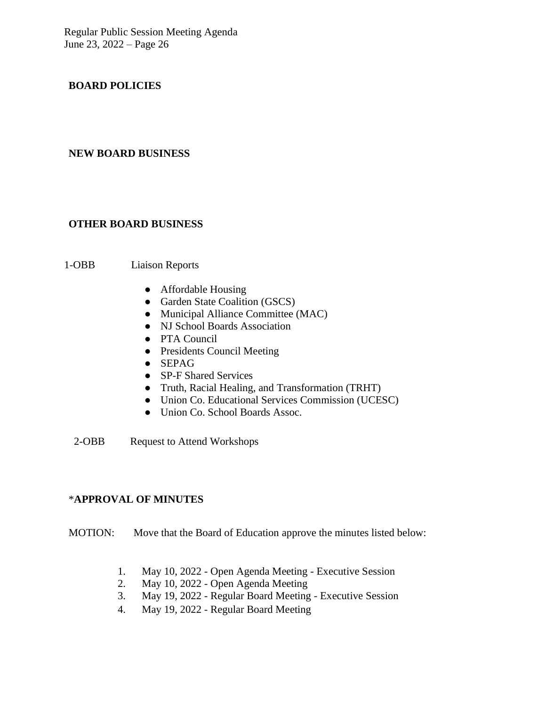## **BOARD POLICIES**

#### **NEW BOARD BUSINESS**

## **OTHER BOARD BUSINESS**

## 1-OBB Liaison Reports

- Affordable Housing
- Garden State Coalition (GSCS)
- Municipal Alliance Committee (MAC)
- NJ School Boards Association
- PTA Council
- Presidents Council Meeting
- SEPAG
- SP-F Shared Services
- Truth, Racial Healing, and Transformation (TRHT)
- Union Co. Educational Services Commission (UCESC)
- Union Co. School Boards Assoc.

2-OBB Request to Attend Workshops

### \***APPROVAL OF MINUTES**

MOTION: Move that the Board of Education approve the minutes listed below:

- 1. May 10, 2022 Open Agenda Meeting Executive Session
- 2. May 10, 2022 Open Agenda Meeting
- 3. May 19, 2022 Regular Board Meeting Executive Session
- 4. May 19, 2022 Regular Board Meeting